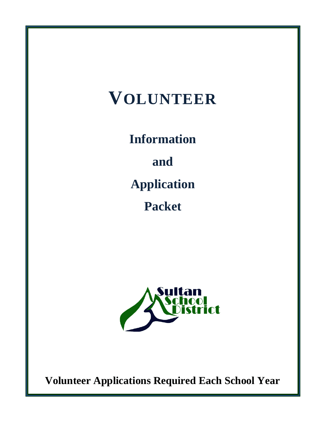# **VOLUNTEER**

**Information** 

**and**

**Application** 

**Packet**



**Volunteer Applications Required Each School Year**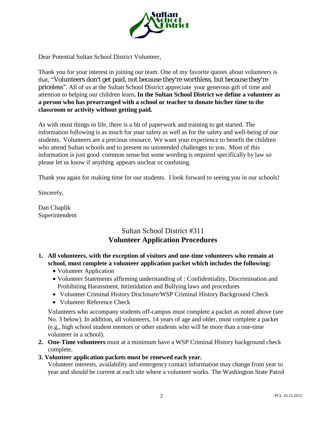

Dear Potential Sultan School District Volunteer,

Thank you for your interest in joining our team. One of my favorite quotes about volunteers is that, "Volunteers don't get paid, not because they're worthless, but because they're priceless". All of us at the Sultan School District appreciate your generous gift of time and attention to helping our children learn**. In the Sultan School District we define a volunteer as a person who has prearranged with a school or teacher to donate his/her time to the classroom or activity without getting paid.**

As with most things in life, there is a bit of paperwork and training to get started. The information following is as much for your safety as well as for the safety and well-being of our students. Volunteers are a precious resource. We want your experience to benefit the children who attend Sultan schools and to present no unintended challenges to you. Most of this information is just good common sense but some wording is required specifically by law so please let us know if anything appears unclear or confusing.

Thank you again for making time for our students. I look forward to seeing you in our schools!

Sincerely,

Dan Chaplik Superintendent

### Sultan School District #311 **Volunteer Application Procedures**

#### **1. All volunteers, with the exception of visitors and one-time volunteers who remain at school, must complete a volunteer application packet which includes the following:**

- Volunteer Application
- Volunteer Statements affirming understanding of : Confidentiality, Discrimination and Prohibiting Harassment, Intimidation and Bullying laws and procedures
- Volunteer Criminal History Disclosure/WSP Criminal History Background Check
- Volunteer Reference Check

Volunteers who accompany students off-campus must complete a packet as noted above (see No. 3 below). In addition, all volunteers, 14 years of age and older, must complete a packet (e.g., high school student mentors or other students who will be more than a one-time volunteer in a school).

- **2. One-Time volunteers** must at a minimum have a WSP Criminal History background check complete.
- **3. Volunteer application packets must be renewed each year.**

Volunteer interests, availability and emergency contact information may change from year to year and should be current at each site where a volunteer works. The Washington State Patrol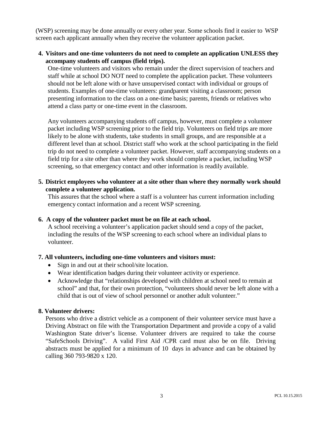(WSP) screening may be done annually or every other year. Some schools find it easier to WSP screen each applicant annually when they receive the volunteer application packet.

#### **4. Visitors and one-time volunteers do not need to complete an application UNLESS they accompany students off campus (field trips).**

One-time volunteers and visitors who remain under the direct supervision of teachers and staff while at school DO NOT need to complete the application packet. These volunteers should not be left alone with or have unsupervised contact with individual or groups of students. Examples of one-time volunteers: grandparent visiting a classroom; person presenting information to the class on a one-time basis; parents, friends or relatives who attend a class party or one-time event in the classroom.

Any volunteers accompanying students off campus, however, must complete a volunteer packet including WSP screening prior to the field trip. Volunteers on field trips are more likely to be alone with students, take students in small groups, and are responsible at a different level than at school. District staff who work at the school participating in the field trip do not need to complete a volunteer packet. However, staff accompanying students on a field trip for a site other than where they work should complete a packet, including WSP screening, so that emergency contact and other information is readily available.

#### **5. District employees who volunteer at a site other than where they normally work should complete a volunteer application.**

This assures that the school where a staff is a volunteer has current information including emergency contact information and a recent WSP screening.

#### **6. A copy of the volunteer packet must be on file at each school.**

A school receiving a volunteer's application packet should send a copy of the packet, including the results of the WSP screening to each school where an individual plans to volunteer.

#### **7. All volunteers, including one-time volunteers and visitors must:**

- Sign in and out at their school/site location.
- Wear identification badges during their volunteer activity or experience.
- Acknowledge that "relationships developed with children at school need to remain at school" and that, for their own protection, "volunteers should never be left alone with a child that is out of view of school personnel or another adult volunteer."

#### **8. Volunteer drivers:**

Persons who drive a district vehicle as a component of their volunteer service must have a Driving Abstract on file with the Transportation Department and provide a copy of a valid Washington State driver's license. Volunteer drivers are required to take the course "SafeSchools Driving". A valid First Aid /CPR card must also be on file. Driving abstracts must be applied for a minimum of 10 days in advance and can be obtained by calling 360 793-9820 x 120.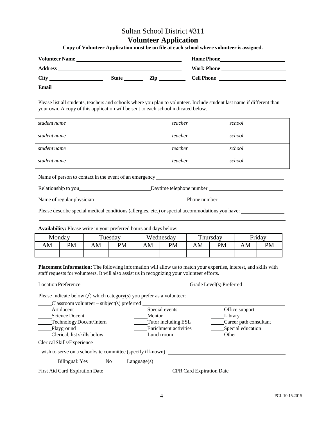#### Sultan School District #311

#### **Volunteer Application**

**Copy of Volunteer Application must be on file at each school where volunteer is assigned.**

| <b>Volunteer Name</b>                                                         | <u> 1989 - John Stein, september 1989 - John Stein, september 1989 - John Stein, september 1989 - John Stein, se</u> |     | <b>Home Phone</b><br>the contract of the contract of the contract of the contract of the contract of |
|-------------------------------------------------------------------------------|----------------------------------------------------------------------------------------------------------------------|-----|------------------------------------------------------------------------------------------------------|
| <b>Address</b><br><u> 1989 - Johann Stoff, amerikansk politiker (d. 1989)</u> |                                                                                                                      |     | Work Phone                                                                                           |
| <b>City</b>                                                                   | <b>State</b>                                                                                                         | Zip | <b>Cell Phone</b>                                                                                    |
| Email                                                                         |                                                                                                                      |     |                                                                                                      |

Please list all students, teachers and schools where you plan to volunteer. Include student last name if different than your own. A copy of this application will be sent to each school indicated below.

| student name | teacher | school |
|--------------|---------|--------|
| student name | teacher | school |
| student name | teacher | school |
| student name | teacher | school |

Name of person to contact in the event of an emergency

| Relationship to you | Davtime telephone number |  |
|---------------------|--------------------------|--|
|                     |                          |  |

| Name of regular physician | Phone number |  |
|---------------------------|--------------|--|
|                           |              |  |

Please describe special medical conditions (allergies, etc.) or special accommodations you have:

**Availability:** Please write in your preferred hours and days below:

|    | Monday |    | Tuesday   |    | Wednesday |    | Thursday |    | Friday    |
|----|--------|----|-----------|----|-----------|----|----------|----|-----------|
| AM | PM     | AM | <b>PM</b> | ١M | PM        | AM | PM       | AM | <b>PM</b> |
|    |        |    |           |    |           |    |          |    |           |

**Placement Information:** The following information will allow us to match your expertise, interest, and skills with staff requests for volunteers. It will also assist us in recognizing your volunteer efforts.

| <b>Location Preference</b>                                                        |                       | Grade Level(s) Preferred |
|-----------------------------------------------------------------------------------|-----------------------|--------------------------|
| Please indicate below $\binom{7}{1}$ which category(s) you prefer as a volunteer: |                       |                          |
| Art docent                                                                        | Special events        | Office support           |
| <b>Science Docent</b>                                                             | Mentor                | Library                  |
| Technology Docent/Intern                                                          | Tutor including ESL   | Career path consultant   |
| Playground                                                                        | Enrichment activities | Special education        |
| Clerical, list skills below                                                       | Lunch room            | Other                    |
| Clerical Skills/Experience                                                        |                       |                          |
| I wish to serve on a school/site committee (specify if known)                     |                       |                          |
|                                                                                   |                       |                          |
| First Aid Card Expiration Date <u>First</u><br><b>CPR Card Expiration Date</b>    |                       |                          |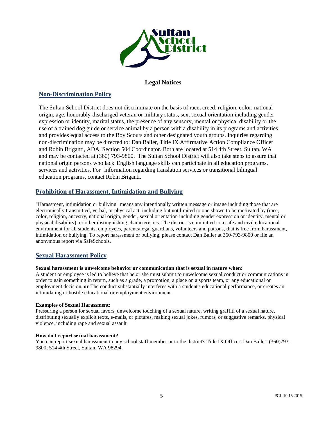

#### **Legal Notices**

#### **[Non-Discrimination Policy](https://app.eduportal.com/documents/view/490282/5010%20Nondiscrimination%20%26%20Affirmative%20Action.pdf)**

The Sultan School District does not discriminate on the basis of race, creed, religion, color, national origin, age, honorably-discharged veteran or military status, sex, sexual orientation including gender expression or identity, marital status, the presence of any sensory, mental or physical disability or the use of a trained dog guide or service animal by a person with a disability in its programs and activities and provides equal access to the Boy Scouts and other designated youth groups. Inquiries regarding non-discrimination may be directed to: Dan Baller, Title IX Affirmative Action Compliance Officer and Robin Briganti, ADA, Section 504 Coordinator. Both are located at 514 4th Street, Sultan, WA and may be contacted at (360) 793-9800. The Sultan School District will also take steps to assure that national origin persons who lack English language skills can participate in all education programs, services and activities. For information regarding translation services or transitional bilingual education programs, contact Robin Briganti.

#### **[Prohibition of Harassment, Intimidation and Bullying](https://app.eduportal.com/documents/view/377210/3207%20-%20%20Prohibition%20of%20Harassment%20Intimidaiton%20%26%20Bullying)**

"Harassment, intimidation or bullying" means any intentionally written message or image including those that are electronically transmitted, verbal, or physical act, including but not limited to one shown to be motivated by (race, color, religion, ancestry, national origin, gender, sexual orientation including gender expression or identity, mental or physical disability), or other distinguishing characteristics. The district is committed to a safe and civil educational environment for all students, employees, parents/legal guardians, volunteers and patrons, that is free from harassment, intimidation or bullying. To report harassment or bullying, please contact Dan Baller at 360-793-9800 or file an anonymous report via SafeSchools.

#### **[Sexual Harassment Policy](https://app.eduportal.com/documents/view/326788/3213%20-%20Sexual%20Harassment)**

#### **Sexual harassment is unwelcome behavior or communication that is sexual in nature when:**

A student or employee is led to believe that he or she must submit to unwelcome sexual conduct or communications in order to gain something in return, such as a grade, a promotion, a place on a sports team, or any educational or employment decision, **or** The conduct substantially interferes with a student's educational performance, or creates an intimidating or hostile educational or employment environment.

#### **Examples of Sexual Harassment:**

Pressuring a person for sexual favors, unwelcome touching of a sexual nature, writing graffiti of a sexual nature, distributing sexually explicit texts, e-mails, or pictures, making sexual jokes, rumors, or suggestive remarks, physical violence, including rape and sexual assault

#### **How do I report sexual harassment?**

You can report sexual harassment to any school staff member or to the district's Title IX Officer: Dan Baller, (360)793- 9800; 514 4th Street, Sultan, WA 98294.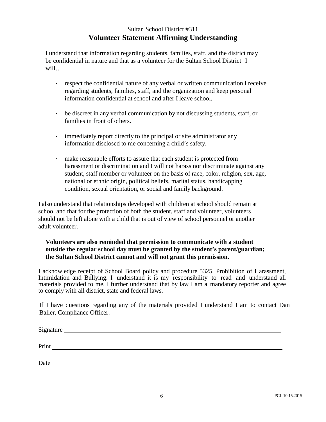#### Sultan School District #311 **Volunteer Statement Affirming Understanding**

I understand that information regarding students, families, staff, and the district may be confidential in nature and that as a volunteer for the Sultan School District I will…

- respect the confidential nature of any verbal or written communication I receive regarding students, families, staff, and the organization and keep personal information confidential at school and after I leave school.
- be discreet in any verbal communication by not discussing students, staff, or families in front of others.
- immediately report directly to the principal or site administrator any information disclosed to me concerning a child's safety.
- make reasonable efforts to assure that each student is protected from harassment or discrimination and I will not harass nor discriminate against any student, staff member or volunteer on the basis of race, color, religion, sex, age, national or ethnic origin, political beliefs, marital status, handicapping condition, sexual orientation, or social and family background.

I also understand that relationships developed with children at school should remain at school and that for the protection of both the student, staff and volunteer, volunteers should not be left alone with a child that is out of view of school personnel or another adult volunteer.

#### **Volunteers are also reminded that permission to communicate with a student outside the regular school day must be granted by the student's parent/guardian; the Sultan School District cannot and will not grant this permission.**

I acknowledge receipt of School Board policy and procedure 5325, Prohibition of Harassment, Intimidation and Bullying. I understand it is my responsibility to read and understand all materials provided to me. I further understand that by law I am a mandatory reporter and agree to comply with all district, state and federal laws.

If I have questions regarding any of the materials provided I understand I am to contact Dan Baller, Compliance Officer.

| Signature |  |  |  |
|-----------|--|--|--|
| Print     |  |  |  |
| Date      |  |  |  |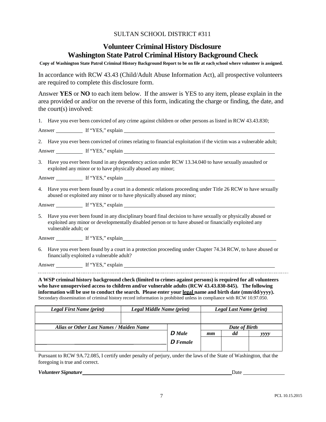#### SULTAN SCHOOL DISTRICT #311

#### **Volunteer Criminal History Disclosure Washington State Patrol Criminal History Background Check**

Copy of Washington State Patrol Criminal History Background Report to be on file at each school where volunteer is assigned.

In accordance with RCW 43.43 (Child/Adult Abuse Information Act), all prospective volunteers are required to complete this disclosure form.

Answer **YES** or **NO** to each item below. If the answer is YES to any item, please explain in the area provided or and/or on the reverse of this form, indicating the charge or finding, the date, and the court(s) involved:

| 1. Have you ever been convicted of any crime against children or other persons as listed in RCW 43.43.830;                                                                                                                                     |
|------------------------------------------------------------------------------------------------------------------------------------------------------------------------------------------------------------------------------------------------|
|                                                                                                                                                                                                                                                |
| 2. Have you ever been convicted of crimes relating to financial exploitation if the victim was a vulnerable adult;                                                                                                                             |
|                                                                                                                                                                                                                                                |
| 3. Have you ever been found in any dependency action under RCW 13.34.040 to have sexually assaulted or<br>exploited any minor or to have physically abused any minor;                                                                          |
|                                                                                                                                                                                                                                                |
| 4. Have you ever been found by a court in a domestic relations proceeding under Title 26 RCW to have sexually<br>abused or exploited any minor or to have physically abused any minor;                                                         |
|                                                                                                                                                                                                                                                |
| 5. Have you ever been found in any disciplinary board final decision to have sexually or physically abused or<br>exploited any minor or developmentally disabled person or to have abused or financially exploited any<br>vulnerable adult; or |
| Answer If "YES," explain                                                                                                                                                                                                                       |

6. Have you ever been found by a court in a protection proceeding under Chapter 74.34 RCW, to have abused or financially exploited a vulnerable adult?

Answer If "YES," explain

**A WSP criminal history background check (limited to crimes against persons) is required for all volunteers who have unsupervised access to children and/or vulnerable adults (RCW 43.43.830-845). The following information will be use to conduct the search. Please enter your legal name and birth date (mm/dd/yyyy).** Secondary dissemination of criminal history record information is prohibited unless in compliance with RCW 10.97.050.

| Legal First Name (print)                | Legal Middle Name (print) |                 |    | Legal Last Name (print) |      |
|-----------------------------------------|---------------------------|-----------------|----|-------------------------|------|
|                                         |                           |                 |    |                         |      |
| Alias or Other Last Names / Maiden Name |                           |                 |    | Date of Birth           |      |
|                                         |                           | <b>D</b> Male   | mm | dd                      | yyyy |
|                                         |                           | <b>D</b> Female |    |                         |      |
|                                         |                           |                 |    |                         |      |

Pursuant to RCW 9A.72.085, I certify under penalty of perjury, under the laws of the State of Washington, that the foregoing is true and correct.

*Volunteer Signature* Date **Date 2018 Date 2018 Date 2018 Date 2018 Date 2018 Date 2018 Date 2018 Date 2018 Date 2018 Date 2018 Date 2018 Date 2018 Date 2018 Date 2018 Date 2018 Date 2018**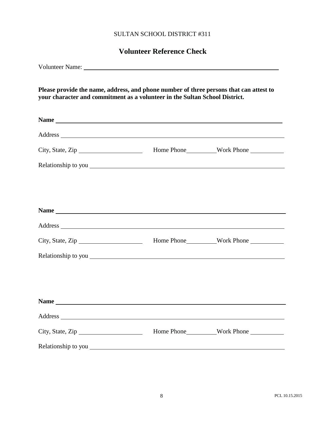#### SULTAN SCHOOL DISTRICT #311

### **Volunteer Reference Check**

| Please provide the name, address, and phone number of three persons that can attest to<br>your character and commitment as a volunteer in the Sultan School District. |  |
|-----------------------------------------------------------------------------------------------------------------------------------------------------------------------|--|
|                                                                                                                                                                       |  |
|                                                                                                                                                                       |  |
|                                                                                                                                                                       |  |
|                                                                                                                                                                       |  |
|                                                                                                                                                                       |  |
|                                                                                                                                                                       |  |
|                                                                                                                                                                       |  |
|                                                                                                                                                                       |  |
|                                                                                                                                                                       |  |
|                                                                                                                                                                       |  |
|                                                                                                                                                                       |  |
|                                                                                                                                                                       |  |
|                                                                                                                                                                       |  |
|                                                                                                                                                                       |  |
| City, State, Zip                                                                                                                                                      |  |
|                                                                                                                                                                       |  |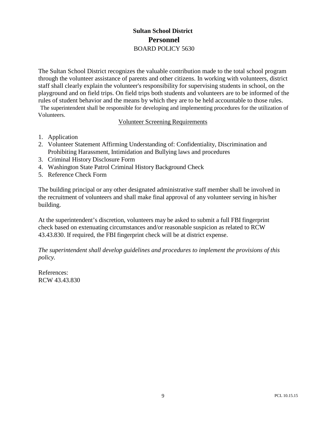#### **Sultan School District Personnel** BOARD POLICY 5630

The Sultan School District recognizes the valuable contribution made to the total school program through the volunteer assistance of parents and other citizens. In working with volunteers, district staff shall clearly explain the volunteer's responsibility for supervising students in school, on the playground and on field trips. On field trips both students and volunteers are to be informed of the rules of student behavior and the means by which they are to be held accountable to those rules. The superintendent shall be responsible for developing and implementing procedures for the utilization of Volunteers.

#### Volunteer Screening Requirements

- 1. Application
- 2. Volunteer Statement Affirming Understanding of: Confidentiality, Discrimination and Prohibiting Harassment, Intimidation and Bullying laws and procedures
- 3. Criminal History Disclosure Form
- 4. Washington State Patrol Criminal History Background Check
- 5. Reference Check Form

The building principal or any other designated administrative staff member shall be involved in the recruitment of volunteers and shall make final approval of any volunteer serving in his/her building.

At the superintendent's discretion, volunteers may be asked to submit a full FBI fingerprint check based on extenuating circumstances and/or reasonable suspicion as related to RCW 43.43.830. If required, the FBI fingerprint check will be at district expense.

*The superintendent shall develop guidelines and procedures to implement the provisions of this policy.*

References: RCW 43.43.830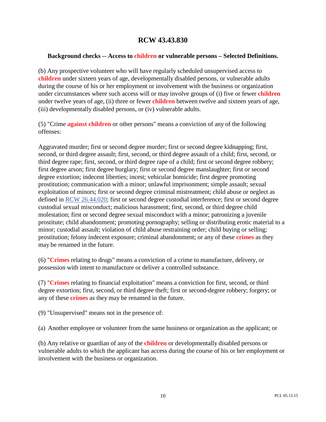#### **RCW 43.43.830**

#### **Background checks -- Access to children or vulnerable persons – Selected Definitions.**

(b) Any prospective volunteer who will have regularly scheduled unsupervised access to **children** under sixteen years of age, developmentally disabled persons, or vulnerable adults during the course of his or her employment or involvement with the business or organization under circumstances where such access will or may involve groups of (i) five or fewer **children** under twelve years of age, (ii) three or fewer **children** between twelve and sixteen years of age, (iii) developmentally disabled persons, or (iv) vulnerable adults.

(5) "Crime **against children** or other persons" means a conviction of any of the following offenses:

Aggravated murder; first or second degree murder; first or second degree kidnapping; first, second, or third degree assault; first, second, or third degree assault of a child; first, second, or third degree rape; first, second, or third degree rape of a child; first or second degree robbery; first degree arson; first degree burglary; first or second degree manslaughter; first or second degree extortion; indecent liberties; incest; vehicular homicide; first degree promoting prostitution; communication with a minor; unlawful imprisonment; simple assault; sexual exploitation of minors; first or second degree criminal mistreatment; child abuse or neglect as defined in RCW 26.44.020; first or second degree custodial interference; first or second degree custodial sexual misconduct; malicious harassment; first, second, or third degree child molestation; first or second degree sexual misconduct with a minor; patronizing a juvenile prostitute; child abandonment; promoting pornography; selling or distributing erotic material to a minor; custodial assault; violation of child abuse restraining order; child buying or selling; prostitution; felony indecent exposure; criminal abandonment; or any of these **crimes** as they may be renamed in the future.

(6) "**Crimes** relating to drugs" means a conviction of a crime to manufacture, delivery, or possession with intent to manufacture or deliver a controlled substance.

(7) "**Crimes** relating to financial exploitation" means a conviction for first, second, or third degree extortion; first, second, or third degree theft; first or second-degree robbery; forgery; or any of these **crimes** as they may be renamed in the future.

(9) "Unsupervised" means not in the presence of:

(a) Another employee or volunteer from the same business or organization as the applicant; or

(b) Any relative or guardian of any of the **children** or developmentally disabled persons or vulnerable adults to which the applicant has access during the course of his or her employment or involvement with the business or organization.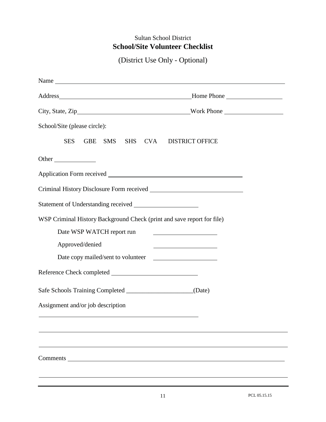#### Sultan School District **School/Site Volunteer Checklist**

(District Use Only - Optional)

| Name                                                                   |                                                                                                                                                                                                                                      |
|------------------------------------------------------------------------|--------------------------------------------------------------------------------------------------------------------------------------------------------------------------------------------------------------------------------------|
| Address Home Phone                                                     |                                                                                                                                                                                                                                      |
|                                                                        |                                                                                                                                                                                                                                      |
| School/Site (please circle):                                           |                                                                                                                                                                                                                                      |
| <b>SES</b><br><b>SMS</b><br><b>GBE</b>                                 | SHS CVA DISTRICT OFFICE                                                                                                                                                                                                              |
| Other                                                                  |                                                                                                                                                                                                                                      |
|                                                                        |                                                                                                                                                                                                                                      |
|                                                                        |                                                                                                                                                                                                                                      |
|                                                                        |                                                                                                                                                                                                                                      |
| WSP Criminal History Background Check (print and save report for file) |                                                                                                                                                                                                                                      |
| Date WSP WATCH report run                                              | <u> 1989 - Johann Barn, mars an t-Amerikaansk politiker (</u>                                                                                                                                                                        |
| Approved/denied                                                        | <u>and the state of the state of the state of the state of the state of the state of the state of the state of the state of the state of the state of the state of the state of the state of the state of the state of the state</u> |
|                                                                        |                                                                                                                                                                                                                                      |
|                                                                        |                                                                                                                                                                                                                                      |
| Safe Schools Training Completed _______________________(Date)          |                                                                                                                                                                                                                                      |
| Assignment and/or job description                                      |                                                                                                                                                                                                                                      |
|                                                                        |                                                                                                                                                                                                                                      |
|                                                                        |                                                                                                                                                                                                                                      |
|                                                                        |                                                                                                                                                                                                                                      |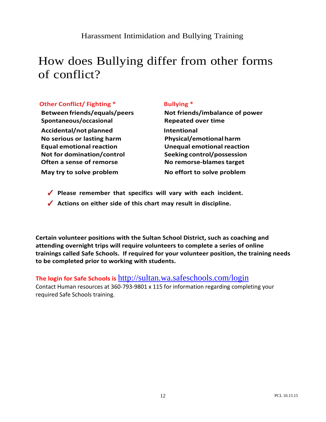#### Harassment Intimidation and Bullying Training

# How does Bullying differ from other forms of conflict?

#### **Other Conflict/ Fighting \* Bullying \***

**Spontaneous/occasional Repeated over time**

**Accidental/not planned Intentional No serious or lasting harm Physical/emotional harm Not for domination/control Seeking control/possession Often a sense of remorse No remorse-blames target May try to solve problem No effort to solve problem**

**Between friends/equals/peers Not friends/imbalance of power Equal emotional reaction Unequal emotional reaction**

- **Please remember that specifics will vary with each incident.**
- **Actions on either side of this chart may result in discipline.**

**Certain volunteer positions with the Sultan School District, such as coaching and attending overnight trips will require volunteers to complete a series of online trainings called Safe Schools. If required for your volunteer position, the training needs to be completed prior to working with students.** 

#### **The login for Safe Schools is** <http://sultan.wa.safeschools.com/login>

Contact Human resources at 360-793-9801 x 115 for information regarding completing your required Safe Schools training.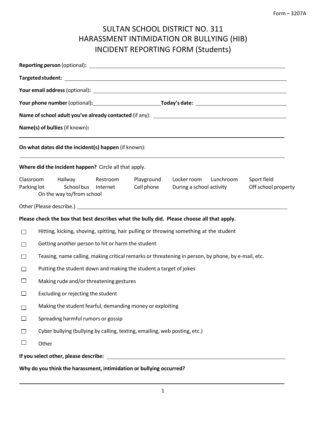## SULTAN SCHOOL DISTRICT NO. 311 HARASSMENT INTIMIDATION OR BULLYING (HIB) INCIDENT REPORTING FORM (Students)

|             | Name(s) of bullies (if known):<br>,我们也不会有什么。""我们的人,我们也不会有什么?""我们的人,我们也不会有什么?""我们的人,我们也不会有什么?""我们的人,我们也不会有什么?""我们的人                                                                                          |  |  |  |  |  |  |
|-------------|-------------------------------------------------------------------------------------------------------------------------------------------------------------------------------------------------------------|--|--|--|--|--|--|
|             | On what dates did the incident(s) happen (if known):                                                                                                                                                        |  |  |  |  |  |  |
|             | Where did the incident happen? Circle all that apply.                                                                                                                                                       |  |  |  |  |  |  |
| Parking lot | Classroom Hallway<br>Playground<br>Restroom<br>Locker room Lunchroom<br>Sport field<br>School bus<br>Cell phone<br>Off school property<br>Internet<br>During a school activity<br>On the way to/from school |  |  |  |  |  |  |
|             |                                                                                                                                                                                                             |  |  |  |  |  |  |
|             | Please check the box that best describes what the bully did. Please choose all that apply.                                                                                                                  |  |  |  |  |  |  |
| $\Box$      | Hitting, kicking, shoving, spitting, hair pulling or throwing something at the student                                                                                                                      |  |  |  |  |  |  |
| $\Box$      | Getting another person to hit or harm the student                                                                                                                                                           |  |  |  |  |  |  |
| $\Box$      | Teasing, name calling, making critical remarks or threatening in person, by phone, by e-mail, etc.                                                                                                          |  |  |  |  |  |  |
| □           | Putting the student down and making the student a target of jokes                                                                                                                                           |  |  |  |  |  |  |
| $\Box$      | Making rude and/or threatening gestures                                                                                                                                                                     |  |  |  |  |  |  |
| $\Box$      | Excluding or rejecting the student                                                                                                                                                                          |  |  |  |  |  |  |
| $\Box$      | Making the student fearful, demanding money or exploiting                                                                                                                                                   |  |  |  |  |  |  |
| $\Box$      | Spreading harmful rumors or gossip                                                                                                                                                                          |  |  |  |  |  |  |
| $\Box$      | Cyber bullying (bullying by calling, texting, emailing, web posting, etc.)                                                                                                                                  |  |  |  |  |  |  |
| $\Box$      | Other                                                                                                                                                                                                       |  |  |  |  |  |  |
|             |                                                                                                                                                                                                             |  |  |  |  |  |  |
|             | Why do you think the harassment, intimidation or bullying occurred?                                                                                                                                         |  |  |  |  |  |  |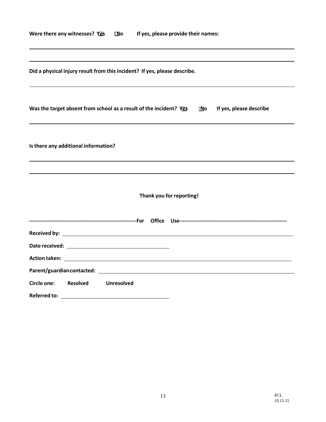| Were there any witnesses? Yes | ∏No | If yes, please provide their names: |
|-------------------------------|-----|-------------------------------------|
|-------------------------------|-----|-------------------------------------|

|                                      |                 | Did a physical injury result from this incident? If yes, please describe.                                              |                          |    |                                                                                                                                                                                                                                      |
|--------------------------------------|-----------------|------------------------------------------------------------------------------------------------------------------------|--------------------------|----|--------------------------------------------------------------------------------------------------------------------------------------------------------------------------------------------------------------------------------------|
|                                      |                 | Was the target absent from school as a result of the incident? Yes                                                     |                          | No | If yes, please describe                                                                                                                                                                                                              |
| Is there any additional information? |                 |                                                                                                                        |                          |    |                                                                                                                                                                                                                                      |
|                                      |                 |                                                                                                                        |                          |    |                                                                                                                                                                                                                                      |
|                                      |                 |                                                                                                                        | Thank you for reporting! |    |                                                                                                                                                                                                                                      |
|                                      |                 |                                                                                                                        |                          |    |                                                                                                                                                                                                                                      |
|                                      |                 |                                                                                                                        |                          |    | Received by: <u>example and a series of the series of the series of the series of the series of the series of the series of the series of the series of the series of the series of the series of the series of the series of th</u> |
|                                      |                 |                                                                                                                        |                          |    |                                                                                                                                                                                                                                      |
|                                      |                 | Action taken: <b>Action taken</b> and the series of the series of the series of the series of the series of the series |                          |    |                                                                                                                                                                                                                                      |
|                                      |                 |                                                                                                                        |                          |    |                                                                                                                                                                                                                                      |
| Circle one:                          | <b>Resolved</b> | Unresolved                                                                                                             |                          |    |                                                                                                                                                                                                                                      |

**Referred to:** 

 $\overline{\phantom{0}}$ 

 $\overline{\phantom{0}}$ 

J.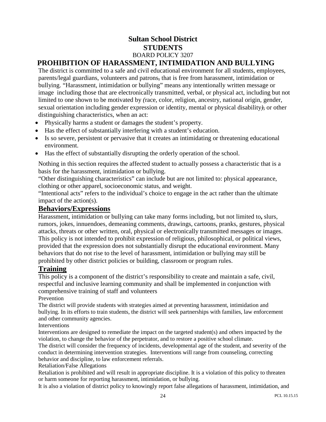#### **Sultan School District STUDENTS** BOARD POLICY 3207 **PROHIBITION OF HARASSMENT, INTIMIDATION AND BULLYING**

#### The district is committed to a safe and civil educational environment for all students, employees, parents/legal guardians, volunteers and patrons*,* that is free from harassment, intimidation or bullying. "Harassment, intimidation or bullying" means any intentionally written message or image including those that are electronically transmitted, verbal, or physical act, including but not limited to one shown to be motivated by *(*race, color, religion, ancestry, national origin, gender, sexual orientation including gender expression or identity, mental or physical disability*),* or other

distinguishing characteristics, when an act:

- Physically harms a student or damages the student's property.
- Has the effect of substantially interfering with a student's education.
- Is so severe, persistent or pervasive that it creates an intimidating or threatening educational environment.
- Has the effect of substantially disrupting the orderly operation of the school.

Nothing in this section requires the affected student to actually possess a characteristic that is a basis for the harassment, intimidation or bullying.

"Other distinguishing characteristics" can include but are not limited to: physical appearance, clothing or other apparel, socioeconomic status*,* and weight.

"Intentional acts" refers to the individual's choice to engage in the act rather than the ultimate impact of the action(s).

#### **Behaviors/Expressions**

Harassment, intimidation or bullying can take many forms including, but not limited to**,** slurs, rumors, jokes, innuendoes, demeaning comments, drawings, cartoons, pranks, gestures, physical attacks, threats or other written, oral, physical or electronically transmitted messages or images. This policy is not intended to prohibit expression of religious, philosophical, or political views, provided that the expression does not substantially disrupt the educational environment. Many behaviors that do not rise to the level of harassment, intimidation or bullying may still be prohibited by other district policies or building, classroom or program rules.

#### **Training**

This policy is a component of the district's responsibility to create and maintain a safe, civil, respectful and inclusive learning community and shall be implemented in conjunction with comprehensive training of staff and volunteers

Prevention

The district will provide students with strategies aimed at preventing harassment, intimidation and bullying. In its efforts to train students, the district will seek partnerships with families, law enforcement and other community agencies.

**Interventions** 

Interventions are designed to remediate the impact on the targeted student(s) and others impacted by the violation, to change the behavior of the perpetrator, and to restore a positive school climate.

The district will consider the frequency of incidents, developmental age of the student, and severity of the conduct in determining intervention strategies. Interventions will range from counseling, correcting behavior and discipline, to law enforcement referrals.

Retaliation/False Allegations

Retaliation is prohibited and will result in appropriate discipline. It is a violation of this policy to threaten or harm someone for reporting harassment, intimidation, or bullying.

It is also a violation of district policy to knowingly report false allegations of harassment, intimidation, and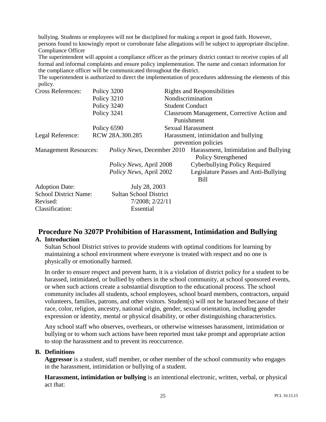bullying. Students or employees will not be disciplined for making a report in good faith. However, persons found to knowingly report or corroborate false allegations will be subject to appropriate discipline. Compliance Officer

The superintendent will appoint a compliance officer as the primary district contact to receive copies of all formal and informal complaints and ensure policy implementation. The name and contact information for the compliance officer will be communicated throughout the district.

The superintendent is authorized to direct the implementation of procedures addressing the elements of this policy.

| <b>Cross References:</b>     | Policy 3200                        | <b>Rights and Responsibilities</b>                           |  |  |  |
|------------------------------|------------------------------------|--------------------------------------------------------------|--|--|--|
|                              | Policy 3210                        | Nondiscrimination                                            |  |  |  |
|                              | Policy 3240                        | <b>Student Conduct</b>                                       |  |  |  |
|                              | Policy 3241                        | Classroom Management, Corrective Action and                  |  |  |  |
|                              |                                    | Punishment                                                   |  |  |  |
|                              | Policy 6590                        | <b>Sexual Harassment</b>                                     |  |  |  |
| Legal Reference:             | RCW 28A.300.285                    | Harassment, intimidation and bullying                        |  |  |  |
|                              |                                    | prevention policies                                          |  |  |  |
| <b>Management Resources:</b> | <i>Policy News</i> , December 2010 | Harassment, Intimidation and Bullying<br>Policy Strengthened |  |  |  |
|                              | <i>Policy News, April 2008</i>     | Cyberbullying Policy Required                                |  |  |  |
|                              | <i>Policy News, April 2002</i>     | Legislature Passes and Anti-Bullying                         |  |  |  |
|                              |                                    | <b>Bill</b>                                                  |  |  |  |
| <b>Adoption Date:</b>        | July 28, 2003                      |                                                              |  |  |  |
| <b>School District Name:</b> | <b>Sultan School District</b>      |                                                              |  |  |  |
| Revised:                     | 7/2008; 2/22/11                    |                                                              |  |  |  |
| Classification:              | Essential                          |                                                              |  |  |  |

#### **Procedure No 3207P Prohibition of Harassment, Intimidation and Bullying A. Introduction**

Sultan School District strives to provide students with optimal conditions for learning by maintaining a school environment where everyone is treated with respect and no one is physically or emotionally harmed.

In order to ensure respect and prevent harm, it is a violation of district policy for a student to be harassed, intimidated, or bullied by others in the school community, at school sponsored events, or when such actions create a substantial disruption to the educational process. The school community includes all students, school employees, school board members, contractors, unpaid volunteers, families, patrons, and other visitors. Student(s) will not be harassed because of their race, color, religion, ancestry, national origin, gender, sexual orientation, including gender expression or identity, mental or physical disability, or other distinguishing characteristics.

Any school staff who observes, overhears, or otherwise witnesses harassment, intimidation or bullying or to whom such actions have been reported must take prompt and appropriate action to stop the harassment and to prevent its reoccurrence.

#### **B. Definitions**

**Aggressor** is a student, staff member, or other member of the school community who engages in the harassment, intimidation or bullying of a student.

**Harassment, intimidation or bullying** is an intentional electronic, written, verbal, or physical act that: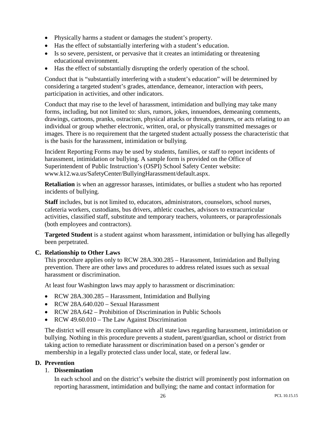- Physically harms a student or damages the student's property.
- Has the effect of substantially interfering with a student's education.
- Is so severe, persistent, or pervasive that it creates an intimidating or threatening educational environment.
- Has the effect of substantially disrupting the orderly operation of the school.

Conduct that is "substantially interfering with a student's education" will be determined by considering a targeted student's grades, attendance, demeanor, interaction with peers, participation in activities, and other indicators.

Conduct that may rise to the level of harassment, intimidation and bullying may take many forms, including, but not limited to: slurs, rumors, jokes, innuendoes, demeaning comments, drawings, cartoons, pranks, ostracism, physical attacks or threats, gestures, or acts relating to an individual or group whether electronic, written, oral, or physically transmitted messages or images. There is no requirement that the targeted student actually possess the characteristic that is the basis for the harassment, intimidation or bullying.

Incident Reporting Forms may be used by students, families, or staff to report incidents of harassment, intimidation or bullying. A sample form is provided on the Office of Superintendent of Public Instruction's (OSPI) School Safety Center website: www.k12.wa.us/SafetyCenter/BullyingHarassment/default.aspx.

**Retaliation** is when an aggressor harasses, intimidates, or bullies a student who has reported incidents of bullying.

**Staff** includes, but is not limited to, educators, administrators, counselors, school nurses, cafeteria workers, custodians, bus drivers, athletic coaches, advisors to extracurricular activities, classified staff, substitute and temporary teachers, volunteers, or paraprofessionals (both employees and contractors).

**Targeted Student** is a student against whom harassment, intimidation or bullying has allegedly been perpetrated.

#### **C. Relationship to Other Laws**

This procedure applies only to RCW 28A.300.285 – Harassment, Intimidation and Bullying prevention. There are other laws and procedures to address related issues such as sexual harassment or discrimination.

At least four Washington laws may apply to harassment or discrimination:

- RCW 28A.300.285 Harassment, Intimidation and Bullying
- RCW 28A.640.020 Sexual Harassment
- RCW 28A.642 Prohibition of Discrimination in Public Schools
- RCW 49.60.010 The Law Against Discrimination

The district will ensure its compliance with all state laws regarding harassment, intimidation or bullying. Nothing in this procedure prevents a student, parent/guardian, school or district from taking action to remediate harassment or discrimination based on a person's gender or membership in a legally protected class under local, state, or federal law.

#### **D. Prevention**

#### 1. **Dissemination**

In each school and on the district's website the district will prominently post information on reporting harassment, intimidation and bullying; the name and contact information for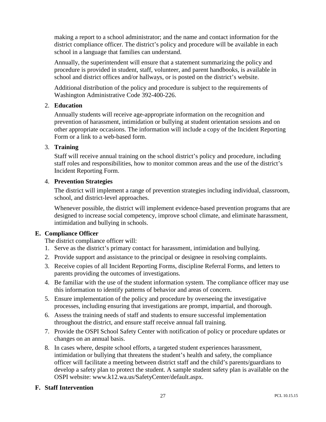making a report to a school administrator; and the name and contact information for the district compliance officer. The district's policy and procedure will be available in each school in a language that families can understand.

Annually, the superintendent will ensure that a statement summarizing the policy and procedure is provided in student, staff, volunteer, and parent handbooks, is available in school and district offices and/or hallways, or is posted on the district's website.

Additional distribution of the policy and procedure is subject to the requirements of Washington Administrative Code 392-400-226.

#### 2. **Education**

Annually students will receive age-appropriate information on the recognition and prevention of harassment, intimidation or bullying at student orientation sessions and on other appropriate occasions. The information will include a copy of the Incident Reporting Form or a link to a web-based form.

#### 3. **Training**

Staff will receive annual training on the school district's policy and procedure, including staff roles and responsibilities, how to monitor common areas and the use of the district's Incident Reporting Form.

#### 4. **Prevention Strategies**

The district will implement a range of prevention strategies including individual, classroom, school, and district-level approaches.

Whenever possible, the district will implement evidence-based prevention programs that are designed to increase social competency, improve school climate, and eliminate harassment, intimidation and bullying in schools.

#### **E. Compliance Officer**

The district compliance officer will:

- 1. Serve as the district's primary contact for harassment, intimidation and bullying.
- 2. Provide support and assistance to the principal or designee in resolving complaints.
- 3. Receive copies of all Incident Reporting Forms, discipline Referral Forms, and letters to parents providing the outcomes of investigations.
- 4. Be familiar with the use of the student information system. The compliance officer may use this information to identify patterns of behavior and areas of concern.
- 5. Ensure implementation of the policy and procedure by overseeing the investigative processes, including ensuring that investigations are prompt, impartial, and thorough.
- 6. Assess the training needs of staff and students to ensure successful implementation throughout the district, and ensure staff receive annual fall training.
- 7. Provide the OSPI School Safety Center with notification of policy or procedure updates or changes on an annual basis.
- 8. In cases where, despite school efforts, a targeted student experiences harassment, intimidation or bullying that threatens the student's health and safety, the compliance officer will facilitate a meeting between district staff and the child's parents/guardians to develop a safety plan to protect the student. A sample student safety plan is available on the OSPI website: www.k12.wa.us/SafetyCenter/default.aspx.

#### **F. Staff Intervention**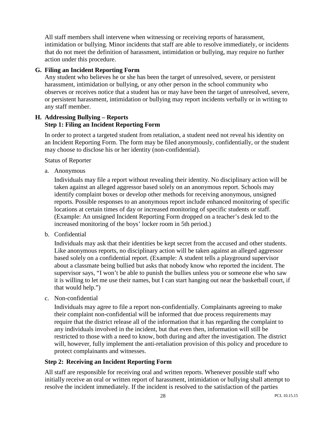All staff members shall intervene when witnessing or receiving reports of harassment, intimidation or bullying. Minor incidents that staff are able to resolve immediately, or incidents that do not meet the definition of harassment, intimidation or bullying, may require no further action under this procedure.

#### **G. Filing an Incident Reporting Form**

Any student who believes he or she has been the target of unresolved, severe, or persistent harassment, intimidation or bullying, or any other person in the school community who observes or receives notice that a student has or may have been the target of unresolved, severe, or persistent harassment, intimidation or bullying may report incidents verbally or in writing to any staff member.

#### **H. Addressing Bullying – Reports Step 1: Filing an Incident Reporting Form**

In order to protect a targeted student from retaliation, a student need not reveal his identity on an Incident Reporting Form. The form may be filed anonymously, confidentially, or the student may choose to disclose his or her identity (non-confidential).

Status of Reporter

a. Anonymous

Individuals may file a report without revealing their identity. No disciplinary action will be taken against an alleged aggressor based solely on an anonymous report. Schools may identify complaint boxes or develop other methods for receiving anonymous, unsigned reports. Possible responses to an anonymous report include enhanced monitoring of specific locations at certain times of day or increased monitoring of specific students or staff. (Example: An unsigned Incident Reporting Form dropped on a teacher's desk led to the increased monitoring of the boys' locker room in 5th period.)

b. Confidential

Individuals may ask that their identities be kept secret from the accused and other students. Like anonymous reports, no disciplinary action will be taken against an alleged aggressor based solely on a confidential report. (Example: A student tells a playground supervisor about a classmate being bullied but asks that nobody know who reported the incident. The supervisor says, "I won't be able to punish the bullies unless you or someone else who saw it is willing to let me use their names, but I can start hanging out near the basketball court, if that would help.")

c. Non-confidential

Individuals may agree to file a report non-confidentially. Complainants agreeing to make their complaint non-confidential will be informed that due process requirements may require that the district release all of the information that it has regarding the complaint to any individuals involved in the incident, but that even then, information will still be restricted to those with a need to know, both during and after the investigation. The district will, however, fully implement the anti-retaliation provision of this policy and procedure to protect complainants and witnesses.

#### **Step 2: Receiving an Incident Reporting Form**

All staff are responsible for receiving oral and written reports. Whenever possible staff who initially receive an oral or written report of harassment, intimidation or bullying shall attempt to resolve the incident immediately. If the incident is resolved to the satisfaction of the parties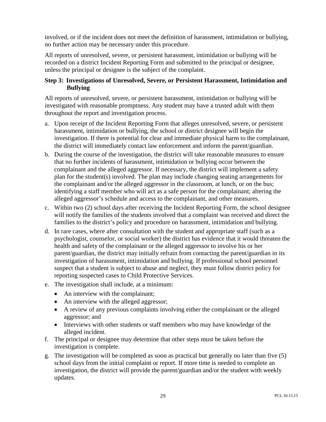involved, or if the incident does not meet the definition of harassment, intimidation or bullying, no further action may be necessary under this procedure.

All reports of unresolved, severe, or persistent harassment, intimidation or bullying will be recorded on a district Incident Reporting Form and submitted to the principal or designee, unless the principal or designee is the subject of the complaint.

#### **Step 3: Investigations of Unresolved, Severe, or Persistent Harassment, Intimidation and Bullying**

All reports of unresolved, severe, or persistent harassment, intimidation or bullying will be investigated with reasonable promptness. Any student may have a trusted adult with them throughout the report and investigation process.

- a. Upon receipt of the Incident Reporting Form that alleges unresolved, severe, or persistent harassment, intimidation or bullying, the school or district designee will begin the investigation. If there is potential for clear and immediate physical harm to the complainant, the district will immediately contact law enforcement and inform the parent/guardian.
- b. During the course of the investigation, the district will take reasonable measures to ensure that no further incidents of harassment, intimidation or bullying occur between the complainant and the alleged aggressor. If necessary, the district will implement a safety plan for the student(s) involved. The plan may include changing seating arrangements for the complainant and/or the alleged aggressor in the classroom, at lunch, or on the bus; identifying a staff member who will act as a safe person for the complainant; altering the alleged aggressor's schedule and access to the complainant, and other measures.
- c. Within two (2) school days after receiving the Incident Reporting Form, the school designee will notify the families of the students involved that a complaint was received and direct the families to the district's policy and procedure on harassment, intimidation and bullying.
- d. In rare cases, where after consultation with the student and appropriate staff (such as a psychologist, counselor, or social worker) the district has evidence that it would threaten the health and safety of the complainant or the alleged aggressor to involve his or her parent/guardian, the district may initially refrain from contacting the parent/guardian in its investigation of harassment, intimidation and bullying. If professional school personnel suspect that a student is subject to abuse and neglect, they must follow district policy for reporting suspected cases to Child Protective Services.
- e. The investigation shall include, at a minimum:
	- An interview with the complainant;
	- An interview with the alleged aggressor;
	- A review of any previous complaints involving either the complainant or the alleged aggressor; and
	- Interviews with other students or staff members who may have knowledge of the alleged incident.
- f. The principal or designee may determine that other steps must be taken before the investigation is complete.
- g. The investigation will be completed as soon as practical but generally no later than five (5) school days from the initial complaint or report. If more time is needed to complete an investigation, the district will provide the parent/guardian and/or the student with weekly updates.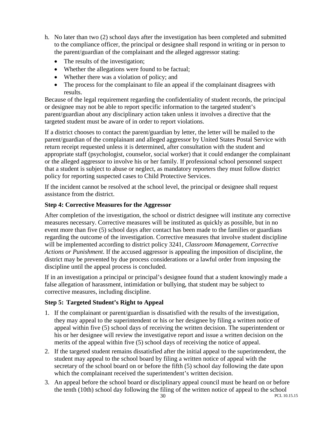- h. No later than two (2) school days after the investigation has been completed and submitted to the compliance officer, the principal or designee shall respond in writing or in person to the parent/guardian of the complainant and the alleged aggressor stating:
	- The results of the investigation;
	- Whether the allegations were found to be factual;
	- Whether there was a violation of policy; and
	- The process for the complainant to file an appeal if the complainant disagrees with results.

Because of the legal requirement regarding the confidentiality of student records, the principal or designee may not be able to report specific information to the targeted student's parent/guardian about any disciplinary action taken unless it involves a directive that the targeted student must be aware of in order to report violations.

If a district chooses to contact the parent/guardian by letter, the letter will be mailed to the parent/guardian of the complainant and alleged aggressor by United States Postal Service with return receipt requested unless it is determined, after consultation with the student and appropriate staff (psychologist, counselor, social worker) that it could endanger the complainant or the alleged aggressor to involve his or her family. If professional school personnel suspect that a student is subject to abuse or neglect, as mandatory reporters they must follow district policy for reporting suspected cases to Child Protective Services.

If the incident cannot be resolved at the school level, the principal or designee shall request assistance from the district.

#### **Step 4: Corrective Measures for the Aggressor**

After completion of the investigation, the school or district designee will institute any corrective measures necessary. Corrective measures will be instituted as quickly as possible, but in no event more than five (5) school days after contact has been made to the families or guardians regarding the outcome of the investigation. Corrective measures that involve student discipline will be implemented according to district policy 3241, *Classroom Management, Corrective Actions or Punishment*. If the accused aggressor is appealing the imposition of discipline, the district may be prevented by due process considerations or a lawful order from imposing the discipline until the appeal process is concluded.

If in an investigation a principal or principal's designee found that a student knowingly made a false allegation of harassment, intimidation or bullying, that student may be subject to corrective measures, including discipline.

#### **Step 5: Targeted Student's Right to Appeal**

- 1. If the complainant or parent/guardian is dissatisfied with the results of the investigation, they may appeal to the superintendent or his or her designee by filing a written notice of appeal within five (5) school days of receiving the written decision. The superintendent or his or her designee will review the investigative report and issue a written decision on the merits of the appeal within five (5) school days of receiving the notice of appeal.
- 2. If the targeted student remains dissatisfied after the initial appeal to the superintendent, the student may appeal to the school board by filing a written notice of appeal with the secretary of the school board on or before the fifth (5) school day following the date upon which the complainant received the superintendent's written decision.
- 3. An appeal before the school board or disciplinary appeal council must be heard on or before the tenth (10th) school day following the filing of the written notice of appeal to the school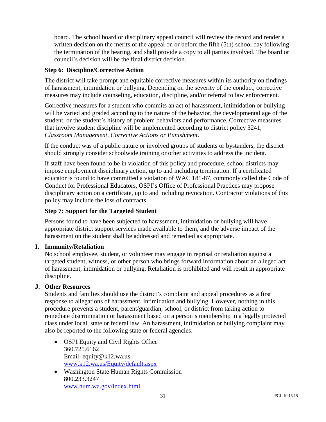board. The school board or disciplinary appeal council will review the record and render a written decision on the merits of the appeal on or before the fifth (5th) school day following the termination of the hearing, and shall provide a copy to all parties involved. The board or council's decision will be the final district decision.

#### **Step 6: Discipline/Corrective Action**

The district will take prompt and equitable corrective measures within its authority on findings of harassment, intimidation or bullying. Depending on the severity of the conduct, corrective measures may include counseling, education, discipline, and/or referral to law enforcement.

Corrective measures for a student who commits an act of harassment, intimidation or bullying will be varied and graded according to the nature of the behavior, the developmental age of the student, or the student's history of problem behaviors and performance. Corrective measures that involve student discipline will be implemented according to district policy 3241, *Classroom Management, Corrective Actions or Punishment*.

If the conduct was of a public nature or involved groups of students or bystanders, the district should strongly consider schoolwide training or other activities to address the incident.

If staff have been found to be in violation of this policy and procedure, school districts may impose employment disciplinary action, up to and including termination. If a certificated educator is found to have committed a violation of WAC 181-87, commonly called the Code of Conduct for Professional Educators, OSPI's Office of Professional Practices may propose disciplinary action on a certificate, up to and including revocation. Contractor violations of this policy may include the loss of contracts.

#### **Step 7: Support for the Targeted Student**

Persons found to have been subjected to harassment, intimidation or bullying will have appropriate district support services made available to them, and the adverse impact of the harassment on the student shall be addressed and remedied as appropriate.

#### **I. Immunity/Retaliation**

No school employee, student, or volunteer may engage in reprisal or retaliation against a targeted student, witness, or other person who brings forward information about an alleged act of harassment, intimidation or bullying. Retaliation is prohibited and will result in appropriate discipline.

#### **J. Other Resources**

Students and families should use the district's complaint and appeal procedures as a first response to allegations of harassment, intimidation and bullying. However, nothing in this procedure prevents a student, parent/guardian, school, or district from taking action to remediate discrimination or harassment based on a person's membership in a legally protected class under local, state or federal law. An harassment, intimidation or bullying complaint may also be reported to the following state or federal agencies:

- OSPI Equity and Civil Rights Office 360.725.6162 Email: equity@k12.wa.us www.k12.wa.us/Equity/default.aspx
- Washington State Human Rights Commission 800.233.3247 www.hum.wa.gov/index.html